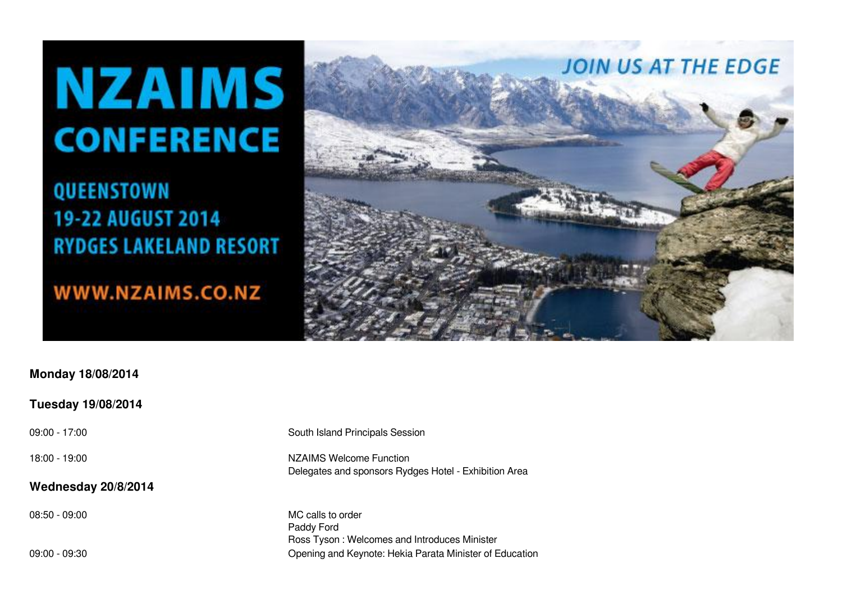## **NZAIMS CONFERENCE**

QUEENSTOWN 19-22 AUGUST 2014 **RYDGES LAKELAND RESORT** 

WWW.NZAIMS.CO.NZ



## **Monday 18/08/2014**

## **Tuesday 19/08/2014**

## **Wednesday 20/8/2014**

09:00 - 17:00 South Island Principals Session

18:00 - 19:00 NZAIMS Welcome Function Delegates and sponsors Rydges Hotel - Exhibition Area

08:50 - 09:00 MC calls to order Paddy Ford Ross Tyson : Welcomes and Introduces Minister 09:00 - 09:30 Opening and Keynote: Hekia Parata Minister of Education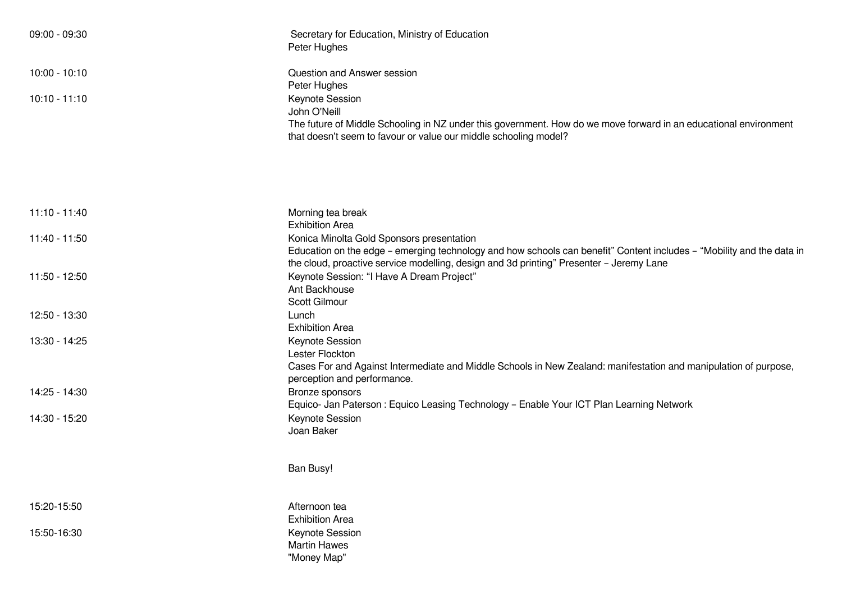| 09:00 - 09:30   | Secretary for Education, Ministry of Education<br>Peter Hughes                                                                                                                                                          |
|-----------------|-------------------------------------------------------------------------------------------------------------------------------------------------------------------------------------------------------------------------|
| 10:00 - 10:10   | Question and Answer session<br>Peter Hughes                                                                                                                                                                             |
| $10:10 - 11:10$ | Keynote Session<br>John O'Neill<br>The future of Middle Schooling in NZ under this government. How do we move forward in an educational environment<br>that doesn't seem to favour or value our middle schooling model? |
| 11:10 - 11:40   | Morning tea break                                                                                                                                                                                                       |
| 11:40 - 11:50   | <b>Exhibition Area</b><br>Konica Minolta Gold Sponsors presentation<br>Education on the edge - emerging technology and how schools can benefit" Content includes - "Mobility and the data in                            |
| 11:50 - 12:50   | the cloud, proactive service modelling, design and 3d printing" Presenter - Jeremy Lane<br>Keynote Session: "I Have A Dream Project"<br>Ant Backhouse<br>Scott Gilmour                                                  |
| 12:50 - 13:30   | Lunch<br><b>Exhibition Area</b>                                                                                                                                                                                         |
| 13:30 - 14:25   | Keynote Session<br>Lester Flockton<br>Cases For and Against Intermediate and Middle Schools in New Zealand: manifestation and manipulation of purpose,<br>perception and performance.                                   |
| 14:25 - 14:30   | Bronze sponsors<br>Equico- Jan Paterson: Equico Leasing Technology - Enable Your ICT Plan Learning Network                                                                                                              |
| 14:30 - 15:20   | Keynote Session<br>Joan Baker                                                                                                                                                                                           |
|                 | Ban Busy!                                                                                                                                                                                                               |
| 15:20-15:50     | Afternoon tea<br><b>Exhibition Area</b>                                                                                                                                                                                 |
| 15:50-16:30     | Keynote Session<br><b>Martin Hawes</b><br>"Money Map"                                                                                                                                                                   |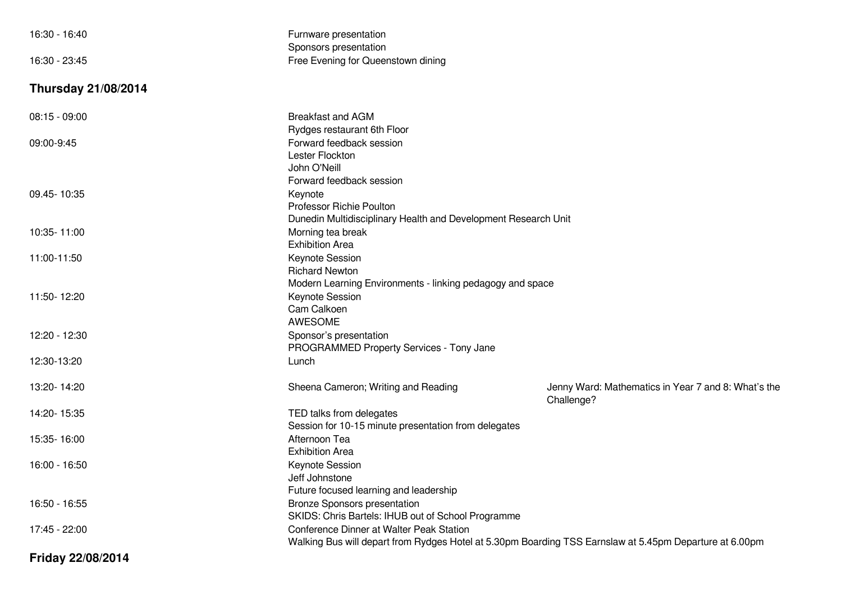| 16:30 - 16:40              | Furnware presentation                                                                                   |                                                                   |
|----------------------------|---------------------------------------------------------------------------------------------------------|-------------------------------------------------------------------|
| 16:30 - 23:45              | Sponsors presentation<br>Free Evening for Queenstown dining                                             |                                                                   |
|                            |                                                                                                         |                                                                   |
| <b>Thursday 21/08/2014</b> |                                                                                                         |                                                                   |
| $08:15 - 09:00$            | <b>Breakfast and AGM</b>                                                                                |                                                                   |
|                            | Rydges restaurant 6th Floor                                                                             |                                                                   |
| 09:00-9:45                 | Forward feedback session<br>Lester Flockton                                                             |                                                                   |
|                            | John O'Neill                                                                                            |                                                                   |
|                            | Forward feedback session                                                                                |                                                                   |
| 09.45-10:35                | Keynote                                                                                                 |                                                                   |
|                            | <b>Professor Richie Poulton</b>                                                                         |                                                                   |
|                            | Dunedin Multidisciplinary Health and Development Research Unit                                          |                                                                   |
| 10:35-11:00                | Morning tea break                                                                                       |                                                                   |
|                            | <b>Exhibition Area</b>                                                                                  |                                                                   |
| 11:00-11:50                | <b>Keynote Session</b>                                                                                  |                                                                   |
|                            | <b>Richard Newton</b>                                                                                   |                                                                   |
|                            | Modern Learning Environments - linking pedagogy and space                                               |                                                                   |
| 11:50-12:20                | <b>Keynote Session</b>                                                                                  |                                                                   |
|                            | Cam Calkoen                                                                                             |                                                                   |
|                            | AWESOME                                                                                                 |                                                                   |
| 12:20 - 12:30              | Sponsor's presentation                                                                                  |                                                                   |
|                            | PROGRAMMED Property Services - Tony Jane                                                                |                                                                   |
| 12:30-13:20                | Lunch                                                                                                   |                                                                   |
| 13:20-14:20                | Sheena Cameron; Writing and Reading                                                                     | Jenny Ward: Mathematics in Year 7 and 8: What's the<br>Challenge? |
| 14:20-15:35                | TED talks from delegates                                                                                |                                                                   |
|                            | Session for 10-15 minute presentation from delegates                                                    |                                                                   |
| 15:35-16:00                | Afternoon Tea                                                                                           |                                                                   |
|                            | <b>Exhibition Area</b>                                                                                  |                                                                   |
| 16:00 - 16:50              | <b>Keynote Session</b>                                                                                  |                                                                   |
|                            | Jeff Johnstone                                                                                          |                                                                   |
|                            | Future focused learning and leadership                                                                  |                                                                   |
| 16:50 - 16:55              | <b>Bronze Sponsors presentation</b>                                                                     |                                                                   |
|                            | SKIDS: Chris Bartels: IHUB out of School Programme                                                      |                                                                   |
| 17:45 - 22:00              | Conference Dinner at Walter Peak Station                                                                |                                                                   |
|                            | Walking Bus will depart from Rydges Hotel at 5.30pm Boarding TSS Earnslaw at 5.45pm Departure at 6.00pm |                                                                   |
| Friday 22/08/2014          |                                                                                                         |                                                                   |